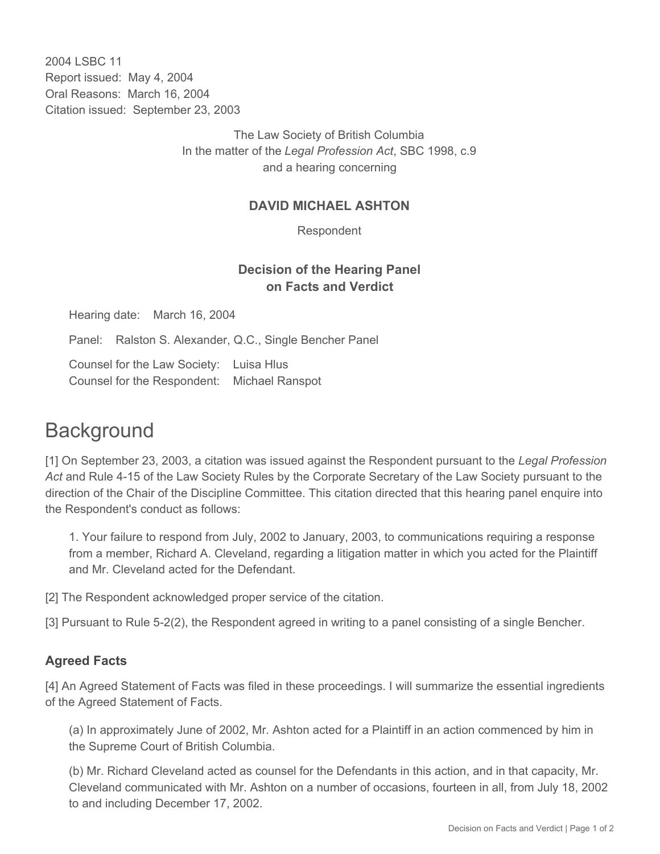2004 LSBC 11 Report issued: May 4, 2004 Oral Reasons: March 16, 2004 Citation issued: September 23, 2003

> The Law Society of British Columbia In the matter of the *Legal Profession Act*, SBC 1998, c.9 and a hearing concerning

## **DAVID MICHAEL ASHTON**

Respondent

## **Decision of the Hearing Panel on Facts and Verdict**

Hearing date: March 16, 2004

Panel: Ralston S. Alexander, Q.C., Single Bencher Panel

Counsel for the Law Society: Luisa Hlus Counsel for the Respondent: Michael Ranspot

## **Background**

[1] On September 23, 2003, a citation was issued against the Respondent pursuant to the *Legal Profession Act* and Rule 4-15 of the Law Society Rules by the Corporate Secretary of the Law Society pursuant to the direction of the Chair of the Discipline Committee. This citation directed that this hearing panel enquire into the Respondent's conduct as follows:

1. Your failure to respond from July, 2002 to January, 2003, to communications requiring a response from a member, Richard A. Cleveland, regarding a litigation matter in which you acted for the Plaintiff and Mr. Cleveland acted for the Defendant.

[2] The Respondent acknowledged proper service of the citation.

[3] Pursuant to Rule 5-2(2), the Respondent agreed in writing to a panel consisting of a single Bencher.

## **Agreed Facts**

[4] An Agreed Statement of Facts was filed in these proceedings. I will summarize the essential ingredients of the Agreed Statement of Facts.

(a) In approximately June of 2002, Mr. Ashton acted for a Plaintiff in an action commenced by him in the Supreme Court of British Columbia.

(b) Mr. Richard Cleveland acted as counsel for the Defendants in this action, and in that capacity, Mr. Cleveland communicated with Mr. Ashton on a number of occasions, fourteen in all, from July 18, 2002 to and including December 17, 2002.